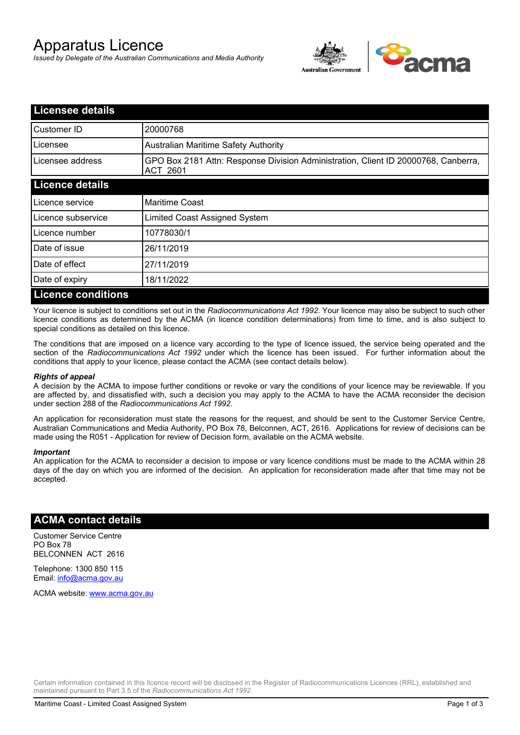# Apparatus Licence

*Issued by Delegate of the Australian Communications and Media Authority*



| <b>Licensee details</b>   |                                                                                                       |
|---------------------------|-------------------------------------------------------------------------------------------------------|
| Customer ID               | 20000768                                                                                              |
| Licensee                  | <b>Australian Maritime Safety Authority</b>                                                           |
| Licensee address          | GPO Box 2181 Attn: Response Division Administration, Client ID 20000768, Canberra,<br><b>ACT 2601</b> |
| <b>Licence details</b>    |                                                                                                       |
| Licence service           | <b>Maritime Coast</b>                                                                                 |
| Licence subservice        | Limited Coast Assigned System                                                                         |
| Licence number            | 10778030/1                                                                                            |
| Date of issue             | 26/11/2019                                                                                            |
| Date of effect            | 27/11/2019                                                                                            |
| Date of expiry            | 18/11/2022                                                                                            |
| <b>Licence conditions</b> |                                                                                                       |

Your licence is subject to conditions set out in the *Radiocommunications Act 1992*. Your licence may also be subject to such other licence conditions as determined by the ACMA (in licence condition determinations) from time to time, and is also subject to special conditions as detailed on this licence.

The conditions that are imposed on a licence vary according to the type of licence issued, the service being operated and the section of the *Radiocommunications Act 1992* under which the licence has been issued. For further information about the conditions that apply to your licence, please contact the ACMA (see contact details below).

### *Rights of appeal*

A decision by the ACMA to impose further conditions or revoke or vary the conditions of your licence may be reviewable. If you are affected by, and dissatisfied with, such a decision you may apply to the ACMA to have the ACMA reconsider the decision under section 288 of the *Radiocommunications Act 1992*.

An application for reconsideration must state the reasons for the request, and should be sent to the Customer Service Centre, Australian Communications and Media Authority, PO Box 78, Belconnen, ACT, 2616. Applications for review of decisions can be made using the R051 - Application for review of Decision form, available on the ACMA website.

#### *Important*

An application for the ACMA to reconsider a decision to impose or vary licence conditions must be made to the ACMA within 28 days of the day on which you are informed of the decision. An application for reconsideration made after that time may not be accepted.

### **ACMA contact details**

Customer Service Centre PO Box 78 BELCONNEN ACT 2616

Telephone: 1300 850 115 Email: info@acma.gov.au

ACMA website: www.acma.gov.au

Certain information contained in this licence record will be disclosed in the Register of Radiocommunications Licences (RRL), established and maintained pursuant to Part 3.5 of the *Radiocommunications Act 1992.*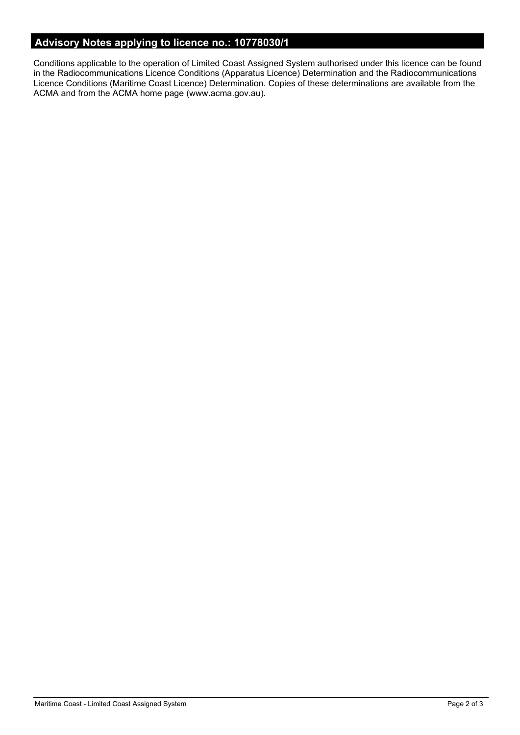# **Advisory Notes applying to licence no.: 10778030/1**

Conditions applicable to the operation of Limited Coast Assigned System authorised under this licence can be found in the Radiocommunications Licence Conditions (Apparatus Licence) Determination and the Radiocommunications Licence Conditions (Maritime Coast Licence) Determination. Copies of these determinations are available from the ACMA and from the ACMA home page (www.acma.gov.au).